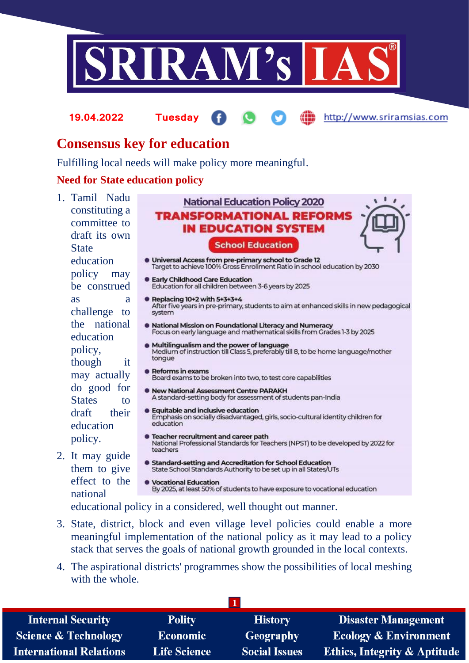

**19.04.2022 Tuesday**

http://www.sriramsias.com

# **Consensus key for education**

Fulfilling local needs will make policy more meaningful.

### **Need for State education policy**

1. Tamil Nadu constituting a committee to draft its own **State** education policy may be construed as a challenge to the national education policy, though it may actually do good for States to draft their education policy.

2. It may guide them to give effect to the

- **National Education Policy 2020 TRANSFORMATIONAL REFORMS IN EDUCATION SYSTEM School Education** ● Universal Access from pre-primary school to Grade 12<br>Target to achieve 100% Gross Enrollment Ratio in school education by 2030 ● Early Childhood Care Education<br>Education for all children between 3-6 years by 2025 **• Replacing 10+2 with 5+3+3+4** After five years in pre-primary, students to aim at enhanced skills in new pedagogical system **• National Mission on Foundational Literacy and Numeracy** Focus on early language and mathematical skills from Grades 1-3 by 2025 • Multilingualism and the power of language Medium of instruction till Class 5, preferably till 8, to be home language/mother tongue **•** Reforms in exams Board exams to be broken into two, to test core capabilities New National Assessment Centre PARAKH A standard-setting body for assessment of students pan-India **• Equitable and inclusive education** Emphasis on socially disadvantaged, girls, socio-cultural identity children for education **Contract Federal Team** Teacher Teacher State National Professional Standards for Teachers (NPST) to be developed by 2022 for teachers Standard-setting and Accreditation for School Education State School Standards Authority to be set up in all States/UTs **CONTROL Vocational Education** By 2025, at least 50% of students to have exposure to vocational education
- national educational policy in a considered, well thought out manner.
- 3. State, district, block and even village level policies could enable a more meaningful implementation of the national policy as it may lead to a policy stack that serves the goals of national growth grounded in the local contexts.
- 4. The aspirational districts' programmes show the possibilities of local meshing with the whole

| <b>Internal Security</b>        | <b>Polity</b>       | <b>History</b>       | <b>Disaster Management</b>              |
|---------------------------------|---------------------|----------------------|-----------------------------------------|
| <b>Science &amp; Technology</b> | <b>Economic</b>     | Geography            | <b>Ecology &amp; Environment</b>        |
| <b>International Relations</b>  | <b>Life Science</b> | <b>Social Issues</b> | <b>Ethics, Integrity &amp; Aptitude</b> |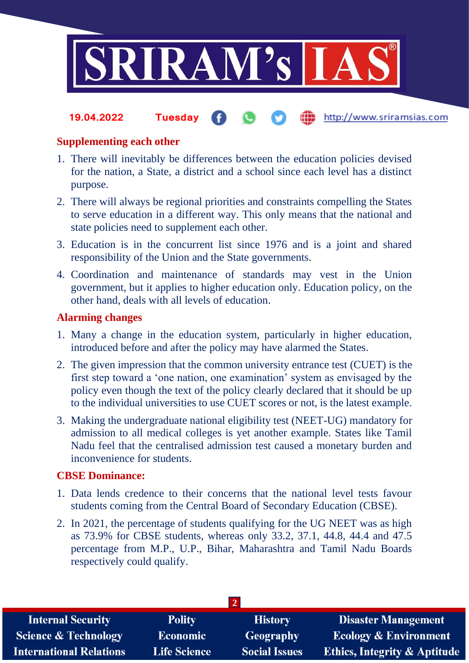

#### http://www.sriramsias.com **19.04.2022 Tuesday**

## **Supplementing each other**

- 1. There will inevitably be differences between the education policies devised for the nation, a State, a district and a school since each level has a distinct purpose.
- 2. There will always be regional priorities and constraints compelling the States to serve education in a different way. This only means that the national and state policies need to supplement each other.
- 3. Education is in the concurrent list since 1976 and is a joint and shared responsibility of the Union and the State governments.
- 4. Coordination and maintenance of standards may vest in the Union government, but it applies to higher education only. Education policy, on the other hand, deals with all levels of education.

# **Alarming changes**

- 1. Many a change in the education system, particularly in higher education, introduced before and after the policy may have alarmed the States.
- 2. The given impression that the common university entrance test (CUET) is the first step toward a 'one nation, one examination' system as envisaged by the policy even though the text of the policy clearly declared that it should be up to the individual universities to use CUET scores or not, is the latest example.
- 3. Making the undergraduate national eligibility test (NEET-UG) mandatory for admission to all medical colleges is yet another example. States like Tamil Nadu feel that the centralised admission test caused a monetary burden and inconvenience for students.

### **CBSE Dominance:**

- 1. Data lends credence to their concerns that the national level tests favour students coming from the Central Board of Secondary Education (CBSE).
- 2. In 2021, the percentage of students qualifying for the UG NEET was as high as 73.9% for CBSE students, whereas only 33.2, 37.1, 44.8, 44.4 and 47.5 percentage from M.P., U.P., Bihar, Maharashtra and Tamil Nadu Boards respectively could qualify.

| <b>Internal Security</b>        | <b>Polity</b>       | <b>History</b>       | <b>Disaster Management</b>              |  |  |  |
|---------------------------------|---------------------|----------------------|-----------------------------------------|--|--|--|
| <b>Science &amp; Technology</b> | <b>Economic</b>     | Geography            | <b>Ecology &amp; Environment</b>        |  |  |  |
| <b>International Relations</b>  | <b>Life Science</b> | <b>Social Issues</b> | <b>Ethics, Integrity &amp; Aptitude</b> |  |  |  |